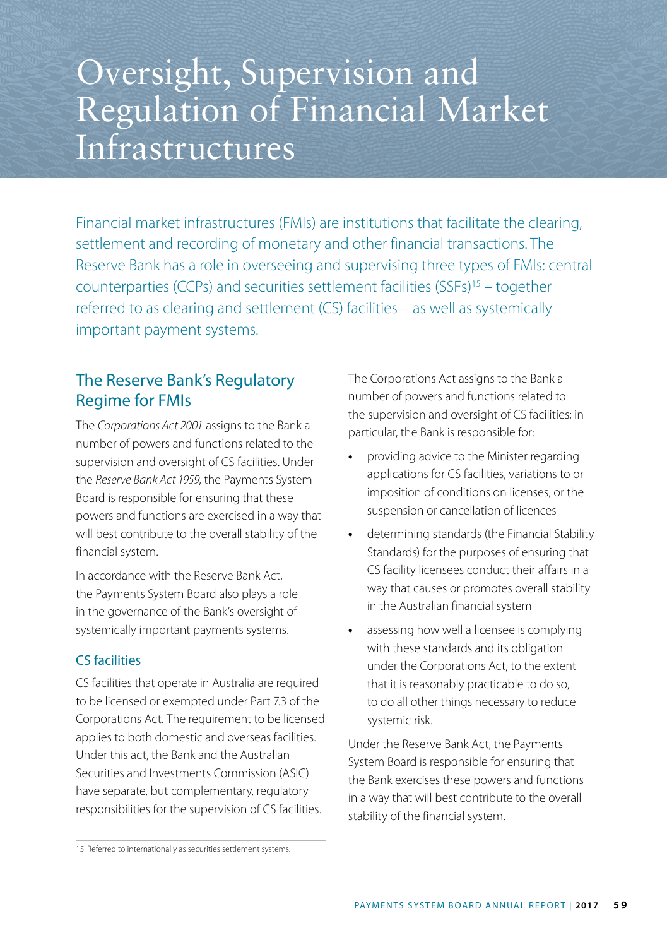# Oversight, Supervision and Regulation of Financial Market Infrastructures

Financial market infrastructures (FMIs) are institutions that facilitate the clearing, settlement and recording of monetary and other financial transactions. The Reserve Bank has a role in overseeing and supervising three types of FMIs: central counterparties (CCPs) and securities settlement facilities (SSFs)15 – together referred to as clearing and settlement (CS) facilities – as well as systemically important payment systems.

# The Reserve Bank's Regulatory Regime for FMIs

The *Corporations Act 2001* assigns to the Bank a number of powers and functions related to the supervision and oversight of CS facilities. Under the *Reserve Bank Act 1959*, the Payments System Board is responsible for ensuring that these powers and functions are exercised in a way that will best contribute to the overall stability of the financial system.

In accordance with the Reserve Bank Act, the Payments System Board also plays a role in the governance of the Bank's oversight of systemically important payments systems.

# CS facilities

CS facilities that operate in Australia are required to be licensed or exempted under Part 7.3 of the Corporations Act. The requirement to be licensed applies to both domestic and overseas facilities. Under this act, the Bank and the Australian Securities and Investments Commission (ASIC) have separate, but complementary, regulatory responsibilities for the supervision of CS facilities.

The Corporations Act assigns to the Bank a number of powers and functions related to the supervision and oversight of CS facilities; in particular, the Bank is responsible for:

- **•** providing advice to the Minister regarding applications for CS facilities, variations to or imposition of conditions on licenses, or the suspension or cancellation of licences
- **•** determining standards (the Financial Stability Standards) for the purposes of ensuring that CS facility licensees conduct their affairs in a way that causes or promotes overall stability in the Australian financial system
- **•** assessing how well a licensee is complying with these standards and its obligation under the Corporations Act, to the extent that it is reasonably practicable to do so, to do all other things necessary to reduce systemic risk.

Under the Reserve Bank Act, the Payments System Board is responsible for ensuring that the Bank exercises these powers and functions in a way that will best contribute to the overall stability of the financial system.

<sup>15</sup> Referred to internationally as securities settlement systems.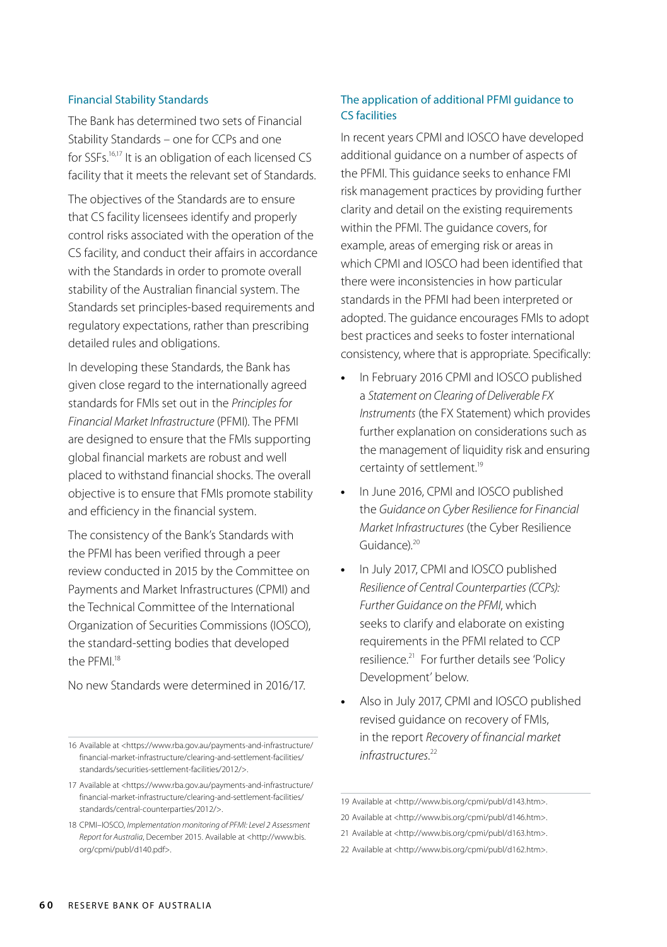#### Financial Stability Standards

The Bank has determined two sets of Financial Stability Standards – one for CCPs and one for SSFs.<sup>16,17</sup> It is an obligation of each licensed CS facility that it meets the relevant set of Standards.

The objectives of the Standards are to ensure that CS facility licensees identify and properly control risks associated with the operation of the CS facility, and conduct their affairs in accordance with the Standards in order to promote overall stability of the Australian financial system. The Standards set principles-based requirements and regulatory expectations, rather than prescribing detailed rules and obligations.

In developing these Standards, the Bank has given close regard to the internationally agreed standards for FMIs set out in the *Principles for Financial Market Infrastructure* (PFMI). The PFMI are designed to ensure that the FMIs supporting global financial markets are robust and well placed to withstand financial shocks. The overall objective is to ensure that FMIs promote stability and efficiency in the financial system.

The consistency of the Bank's Standards with the PFMI has been verified through a peer review conducted in 2015 by the Committee on Payments and Market Infrastructures (CPMI) and the Technical Committee of the International Organization of Securities Commissions (IOSCO), the standard-setting bodies that developed the PFMI<sup>18</sup>

No new Standards were determined in 2016/17.

# The application of additional PFMI guidance to CS facilities

In recent years CPMI and IOSCO have developed additional guidance on a number of aspects of the PFMI. This guidance seeks to enhance FMI risk management practices by providing further clarity and detail on the existing requirements within the PFMI. The guidance covers, for example, areas of emerging risk or areas in which CPMI and IOSCO had been identified that there were inconsistencies in how particular standards in the PFMI had been interpreted or adopted. The guidance encourages FMIs to adopt best practices and seeks to foster international consistency, where that is appropriate. Specifically:

- **•** In February 2016 CPMI and IOSCO published a *Statement on Clearing of Deliverable FX Instruments* (the FX Statement) which provides further explanation on considerations such as the management of liquidity risk and ensuring certainty of settlement.<sup>19</sup>
- **•** In June 2016, CPMI and IOSCO published the *Guidance on Cyber Resilience for Financial Market Infrastructures* (the Cyber Resilience Guidance).<sup>20</sup>
- **•** In July 2017, CPMI and IOSCO published *Resilience of Central Counterparties (CCPs): Further Guidance on the PFMI*, which seeks to clarify and elaborate on existing requirements in the PFMI related to CCP resilience.<sup>21</sup> For further details see 'Policy Development' below.
- **•** Also in July 2017, CPMI and IOSCO published revised guidance on recovery of FMIs, in the report *Recovery of financial market infrastructures*. 22

<sup>16</sup> Available at <https://www.rba.gov.au/payments-and-infrastructure/ financial-market-infrastructure/clearing-and-settlement-facilities/ standards/securities-settlement-facilities/2012/>.

<sup>17</sup> Available at <https://www.rba.gov.au/payments-and-infrastructure/ financial-market-infrastructure/clearing-and-settlement-facilities/ standards/central-counterparties/2012/>.

<sup>18</sup> CPMI–IOSCO, *Implementation monitoring of PFMI: Level 2 Assessment Report for Australia*, December 2015. Available at <http://www.bis. org/cpmi/publ/d140.pdf>.

<sup>19</sup> Available at <http://www.bis.org/cpmi/publ/d143.htm>.

<sup>20</sup> Available at <http://www.bis.org/cpmi/publ/d146.htm>.

<sup>21</sup> Available at <http://www.bis.org/cpmi/publ/d163.htm>.

<sup>22</sup> Available at <http://www.bis.org/cpmi/publ/d162.htm>.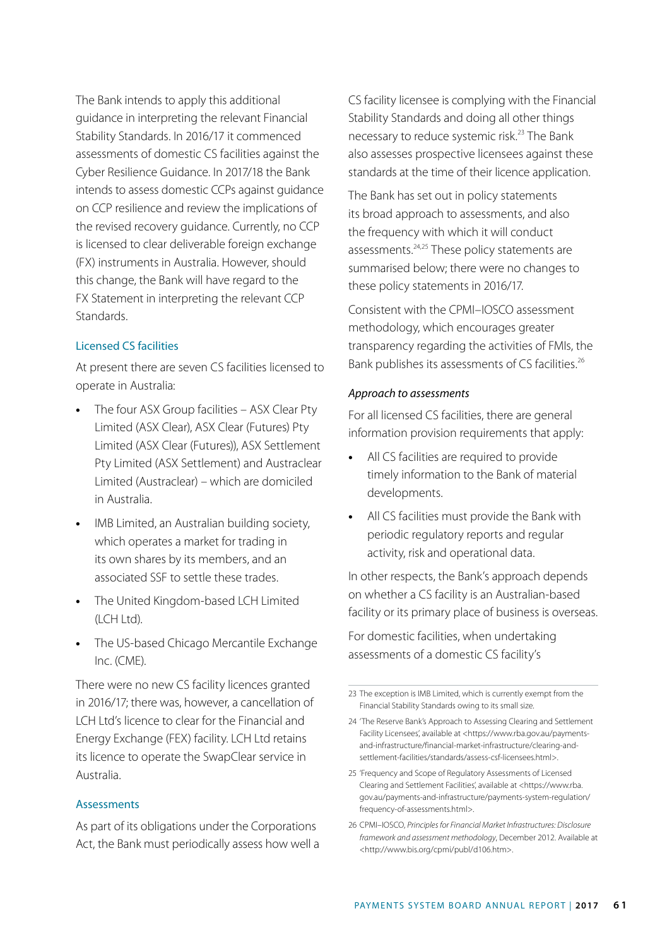The Bank intends to apply this additional guidance in interpreting the relevant Financial Stability Standards. In 2016/17 it commenced assessments of domestic CS facilities against the Cyber Resilience Guidance. In 2017/18 the Bank intends to assess domestic CCPs against guidance on CCP resilience and review the implications of the revised recovery guidance. Currently, no CCP is licensed to clear deliverable foreign exchange (FX) instruments in Australia. However, should this change, the Bank will have regard to the FX Statement in interpreting the relevant CCP **Standards** 

#### Licensed CS facilities

At present there are seven CS facilities licensed to operate in Australia:

- **•** The four ASX Group facilities ASX Clear Pty Limited (ASX Clear), ASX Clear (Futures) Pty Limited (ASX Clear (Futures)), ASX Settlement Pty Limited (ASX Settlement) and Austraclear Limited (Austraclear) – which are domiciled in Australia.
- **•** IMB Limited, an Australian building society, which operates a market for trading in its own shares by its members, and an associated SSF to settle these trades.
- **•** The United Kingdom-based LCH Limited (LCH Ltd).
- **•** The US-based Chicago Mercantile Exchange Inc. (CME).

There were no new CS facility licences granted in 2016/17; there was, however, a cancellation of LCH Ltd's licence to clear for the Financial and Energy Exchange (FEX) facility. LCH Ltd retains its licence to operate the SwapClear service in Australia.

#### Assessments

As part of its obligations under the Corporations Act, the Bank must periodically assess how well a CS facility licensee is complying with the Financial Stability Standards and doing all other things necessary to reduce systemic risk.<sup>23</sup> The Bank also assesses prospective licensees against these standards at the time of their licence application.

The Bank has set out in policy statements its broad approach to assessments, and also the frequency with which it will conduct assessments.<sup>24,25</sup> These policy statements are summarised below; there were no changes to these policy statements in 2016/17.

Consistent with the CPMI–IOSCO assessment methodology, which encourages greater transparency regarding the activities of FMIs, the Bank publishes its assessments of CS facilities.<sup>26</sup>

#### *Approach to assessments*

For all licensed CS facilities, there are general information provision requirements that apply:

- **•** All CS facilities are required to provide timely information to the Bank of material developments.
- **•** All CS facilities must provide the Bank with periodic regulatory reports and regular activity, risk and operational data.

In other respects, the Bank's approach depends on whether a CS facility is an Australian-based facility or its primary place of business is overseas.

For domestic facilities, when undertaking assessments of a domestic CS facility's

- 25 'Frequency and Scope of Regulatory Assessments of Licensed Clearing and Settlement Facilities', available at <https://www.rba. gov.au/payments-and-infrastructure/payments-system-regulation/ frequency-of-assessments.html>.
- 26 CPMI–IOSCO, *Principles for Financial Market Infrastructures: Disclosure framework and assessment methodology*, December 2012. Available at <http://www.bis.org/cpmi/publ/d106.htm>.

<sup>23</sup> The exception is IMB Limited, which is currently exempt from the Financial Stability Standards owing to its small size.

<sup>24</sup> 'The Reserve Bank's Approach to Assessing Clearing and Settlement Facility Licensees', available at <https://www.rba.gov.au/paymentsand-infrastructure/financial-market-infrastructure/clearing-andsettlement-facilities/standards/assess-csf-licensees.html>.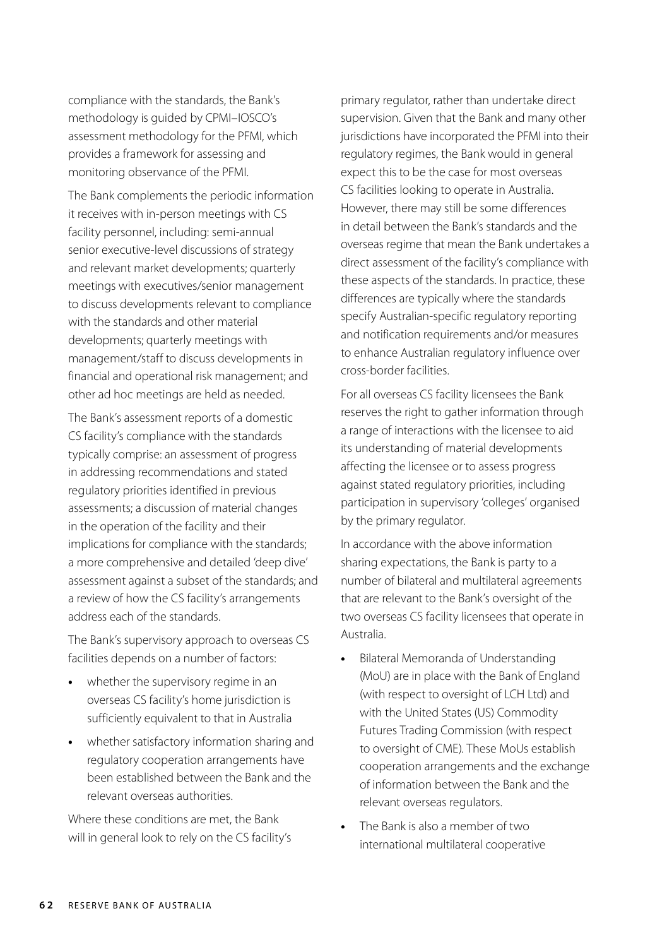compliance with the standards, the Bank's methodology is guided by CPMI–IOSCO's assessment methodology for the PFMI, which provides a framework for assessing and monitoring observance of the PFMI.

The Bank complements the periodic information it receives with in-person meetings with CS facility personnel, including: semi-annual senior executive-level discussions of strategy and relevant market developments; quarterly meetings with executives/senior management to discuss developments relevant to compliance with the standards and other material developments; quarterly meetings with management/staff to discuss developments in financial and operational risk management; and other ad hoc meetings are held as needed.

The Bank's assessment reports of a domestic CS facility's compliance with the standards typically comprise: an assessment of progress in addressing recommendations and stated regulatory priorities identified in previous assessments; a discussion of material changes in the operation of the facility and their implications for compliance with the standards; a more comprehensive and detailed 'deep dive' assessment against a subset of the standards; and a review of how the CS facility's arrangements address each of the standards.

The Bank's supervisory approach to overseas CS facilities depends on a number of factors:

- **•** whether the supervisory regime in an overseas CS facility's home jurisdiction is sufficiently equivalent to that in Australia
- **•** whether satisfactory information sharing and regulatory cooperation arrangements have been established between the Bank and the relevant overseas authorities.

Where these conditions are met, the Bank will in general look to rely on the CS facility's primary regulator, rather than undertake direct supervision. Given that the Bank and many other jurisdictions have incorporated the PFMI into their regulatory regimes, the Bank would in general expect this to be the case for most overseas CS facilities looking to operate in Australia. However, there may still be some differences in detail between the Bank's standards and the overseas regime that mean the Bank undertakes a direct assessment of the facility's compliance with these aspects of the standards. In practice, these differences are typically where the standards specify Australian-specific regulatory reporting and notification requirements and/or measures to enhance Australian regulatory influence over cross-border facilities.

For all overseas CS facility licensees the Bank reserves the right to gather information through a range of interactions with the licensee to aid its understanding of material developments affecting the licensee or to assess progress against stated regulatory priorities, including participation in supervisory 'colleges' organised by the primary regulator.

In accordance with the above information sharing expectations, the Bank is party to a number of bilateral and multilateral agreements that are relevant to the Bank's oversight of the two overseas CS facility licensees that operate in Australia.

- **•** Bilateral Memoranda of Understanding (MoU) are in place with the Bank of England (with respect to oversight of LCH Ltd) and with the United States (US) Commodity Futures Trading Commission (with respect to oversight of CME). These MoUs establish cooperation arrangements and the exchange of information between the Bank and the relevant overseas regulators.
- **•** The Bank is also a member of two international multilateral cooperative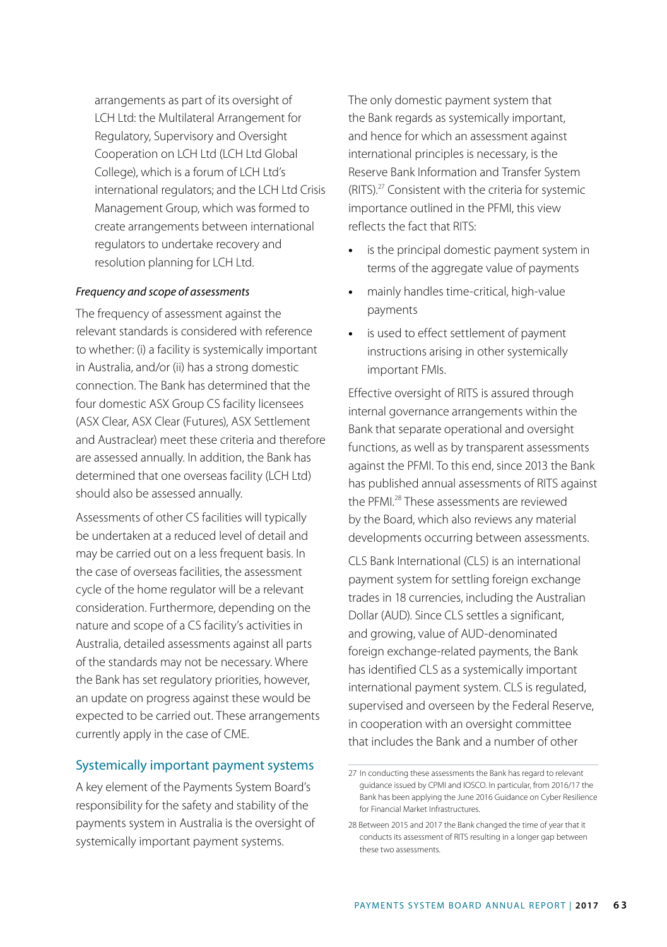arrangements as part of its oversight of LCH Ltd: the Multilateral Arrangement for Regulatory, Supervisory and Oversight Cooperation on LCH Ltd (LCH Ltd Global College), which is a forum of LCH Ltd's international regulators; and the LCH Ltd Crisis Management Group, which was formed to create arrangements between international regulators to undertake recovery and resolution planning for LCH Ltd.

#### *Frequency and scope of assessments*

The frequency of assessment against the relevant standards is considered with reference to whether: (i) a facility is systemically important in Australia, and/or (ii) has a strong domestic connection. The Bank has determined that the four domestic ASX Group CS facility licensees (ASX Clear, ASX Clear (Futures), ASX Settlement and Austraclear) meet these criteria and therefore are assessed annually. In addition, the Bank has determined that one overseas facility (LCH Ltd) should also be assessed annually.

Assessments of other CS facilities will typically be undertaken at a reduced level of detail and may be carried out on a less frequent basis. In the case of overseas facilities, the assessment cycle of the home regulator will be a relevant consideration. Furthermore, depending on the nature and scope of a CS facility's activities in Australia, detailed assessments against all parts of the standards may not be necessary. Where the Bank has set regulatory priorities, however, an update on progress against these would be expected to be carried out. These arrangements currently apply in the case of CME.

# Systemically important payment systems

A key element of the Payments System Board's responsibility for the safety and stability of the payments system in Australia is the oversight of systemically important payment systems.

The only domestic payment system that the Bank regards as systemically important, and hence for which an assessment against international principles is necessary, is the Reserve Bank Information and Transfer System (RITS).27 Consistent with the criteria for systemic importance outlined in the PFMI, this view reflects the fact that RITS:

- **•** is the principal domestic payment system in terms of the aggregate value of payments
- **•** mainly handles time-critical, high-value payments
- **•** is used to effect settlement of payment instructions arising in other systemically important FMIs.

Effective oversight of RITS is assured through internal governance arrangements within the Bank that separate operational and oversight functions, as well as by transparent assessments against the PFMI. To this end, since 2013 the Bank has published annual assessments of RITS against the PFMI.<sup>28</sup> These assessments are reviewed by the Board, which also reviews any material developments occurring between assessments.

CLS Bank International (CLS) is an international payment system for settling foreign exchange trades in 18 currencies, including the Australian Dollar (AUD). Since CLS settles a significant, and growing, value of AUD-denominated foreign exchange-related payments, the Bank has identified CLS as a systemically important international payment system. CLS is regulated, supervised and overseen by the Federal Reserve, in cooperation with an oversight committee that includes the Bank and a number of other

<sup>27</sup> In conducting these assessments the Bank has regard to relevant guidance issued by CPMI and IOSCO. In particular, from 2016/17 the Bank has been applying the June 2016 Guidance on Cyber Resilience for Financial Market Infrastructures.

<sup>28</sup> Between 2015 and 2017 the Bank changed the time of year that it conducts its assessment of RITS resulting in a longer gap between these two assessments.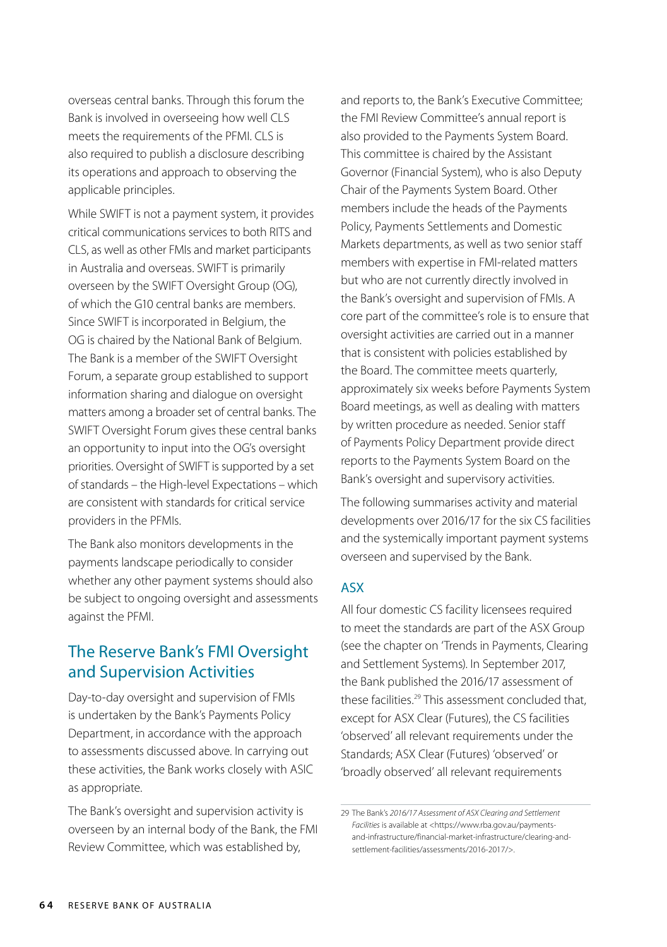overseas central banks. Through this forum the Bank is involved in overseeing how well CLS meets the requirements of the PFMI. CLS is also required to publish a disclosure describing its operations and approach to observing the applicable principles.

While SWIFT is not a payment system, it provides critical communications services to both RITS and CLS, as well as other FMIs and market participants in Australia and overseas. SWIFT is primarily overseen by the SWIFT Oversight Group (OG), of which the G10 central banks are members. Since SWIFT is incorporated in Belgium, the OG is chaired by the National Bank of Belgium. The Bank is a member of the SWIFT Oversight Forum, a separate group established to support information sharing and dialogue on oversight matters among a broader set of central banks. The SWIFT Oversight Forum gives these central banks an opportunity to input into the OG's oversight priorities. Oversight of SWIFT is supported by a set of standards – the High-level Expectations – which are consistent with standards for critical service providers in the PFMIs.

The Bank also monitors developments in the payments landscape periodically to consider whether any other payment systems should also be subject to ongoing oversight and assessments against the PFMI.

# The Reserve Bank's FMI Oversight and Supervision Activities

Day-to-day oversight and supervision of FMIs is undertaken by the Bank's Payments Policy Department, in accordance with the approach to assessments discussed above. In carrying out these activities, the Bank works closely with ASIC as appropriate.

The Bank's oversight and supervision activity is overseen by an internal body of the Bank, the FMI Review Committee, which was established by,

and reports to, the Bank's Executive Committee; the FMI Review Committee's annual report is also provided to the Payments System Board. This committee is chaired by the Assistant Governor (Financial System), who is also Deputy Chair of the Payments System Board. Other members include the heads of the Payments Policy, Payments Settlements and Domestic Markets departments, as well as two senior staff members with expertise in FMI-related matters but who are not currently directly involved in the Bank's oversight and supervision of FMIs. A core part of the committee's role is to ensure that oversight activities are carried out in a manner that is consistent with policies established by the Board. The committee meets quarterly, approximately six weeks before Payments System Board meetings, as well as dealing with matters by written procedure as needed. Senior staff of Payments Policy Department provide direct reports to the Payments System Board on the Bank's oversight and supervisory activities.

The following summarises activity and material developments over 2016/17 for the six CS facilities and the systemically important payment systems overseen and supervised by the Bank.

# ASX

All four domestic CS facility licensees required to meet the standards are part of the ASX Group (see the chapter on 'Trends in Payments, Clearing and Settlement Systems). In September 2017, the Bank published the 2016/17 assessment of these facilities.<sup>29</sup> This assessment concluded that, except for ASX Clear (Futures), the CS facilities 'observed' all relevant requirements under the Standards; ASX Clear (Futures) 'observed' or 'broadly observed' all relevant requirements

<sup>29</sup> The Bank's *2016/17 Assessment of ASX Clearing and Settlement Facilities* is available at <https://www.rba.gov.au/paymentsand-infrastructure/financial-market-infrastructure/clearing-andsettlement-facilities/assessments/2016-2017/>.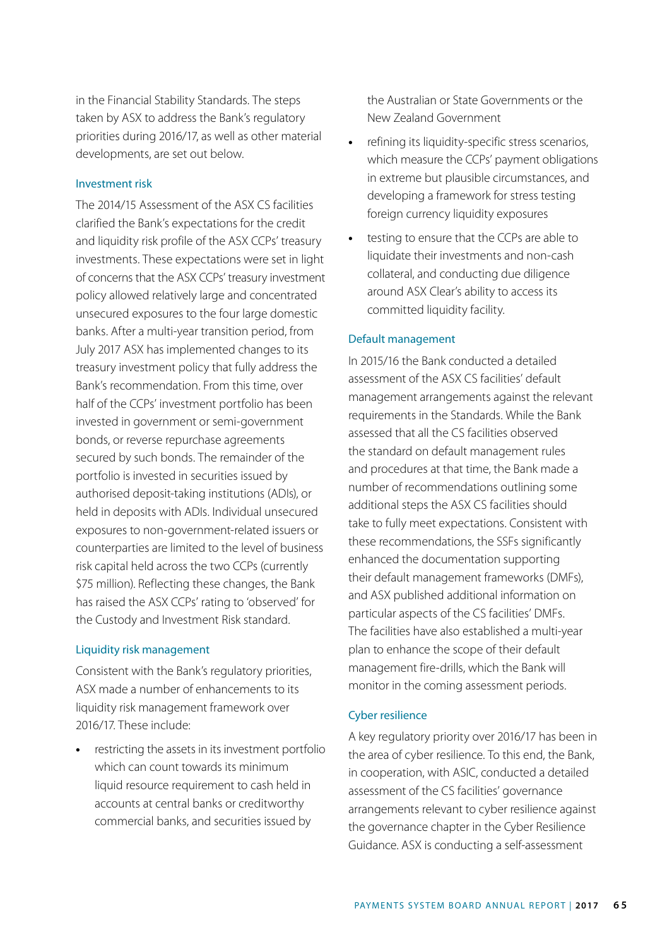in the Financial Stability Standards. The steps taken by ASX to address the Bank's regulatory priorities during 2016/17, as well as other material developments, are set out below.

#### Investment risk

The 2014/15 Assessment of the ASX CS facilities clarified the Bank's expectations for the credit and liquidity risk profile of the ASX CCPs' treasury investments. These expectations were set in light of concerns that the ASX CCPs' treasury investment policy allowed relatively large and concentrated unsecured exposures to the four large domestic banks. After a multi-year transition period, from July 2017 ASX has implemented changes to its treasury investment policy that fully address the Bank's recommendation. From this time, over half of the CCPs' investment portfolio has been invested in government or semi-government bonds, or reverse repurchase agreements secured by such bonds. The remainder of the portfolio is invested in securities issued by authorised deposit-taking institutions (ADIs), or held in deposits with ADIs. Individual unsecured exposures to non-government-related issuers or counterparties are limited to the level of business risk capital held across the two CCPs (currently \$75 million). Reflecting these changes, the Bank has raised the ASX CCPs' rating to 'observed' for the Custody and Investment Risk standard.

#### Liquidity risk management

Consistent with the Bank's regulatory priorities, ASX made a number of enhancements to its liquidity risk management framework over 2016/17. These include:

**•** restricting the assets in its investment portfolio which can count towards its minimum liquid resource requirement to cash held in accounts at central banks or creditworthy commercial banks, and securities issued by

the Australian or State Governments or the New Zealand Government

- **•** refining its liquidity-specific stress scenarios, which measure the CCPs' payment obligations in extreme but plausible circumstances, and developing a framework for stress testing foreign currency liquidity exposures
- **•** testing to ensure that the CCPs are able to liquidate their investments and non-cash collateral, and conducting due diligence around ASX Clear's ability to access its committed liquidity facility.

#### Default management

In 2015/16 the Bank conducted a detailed assessment of the ASX CS facilities' default management arrangements against the relevant requirements in the Standards. While the Bank assessed that all the CS facilities observed the standard on default management rules and procedures at that time, the Bank made a number of recommendations outlining some additional steps the ASX CS facilities should take to fully meet expectations. Consistent with these recommendations, the SSFs significantly enhanced the documentation supporting their default management frameworks (DMFs), and ASX published additional information on particular aspects of the CS facilities' DMFs. The facilities have also established a multi-year plan to enhance the scope of their default management fire-drills, which the Bank will monitor in the coming assessment periods.

#### Cyber resilience

A key regulatory priority over 2016/17 has been in the area of cyber resilience. To this end, the Bank, in cooperation, with ASIC, conducted a detailed assessment of the CS facilities' governance arrangements relevant to cyber resilience against the governance chapter in the Cyber Resilience Guidance. ASX is conducting a self-assessment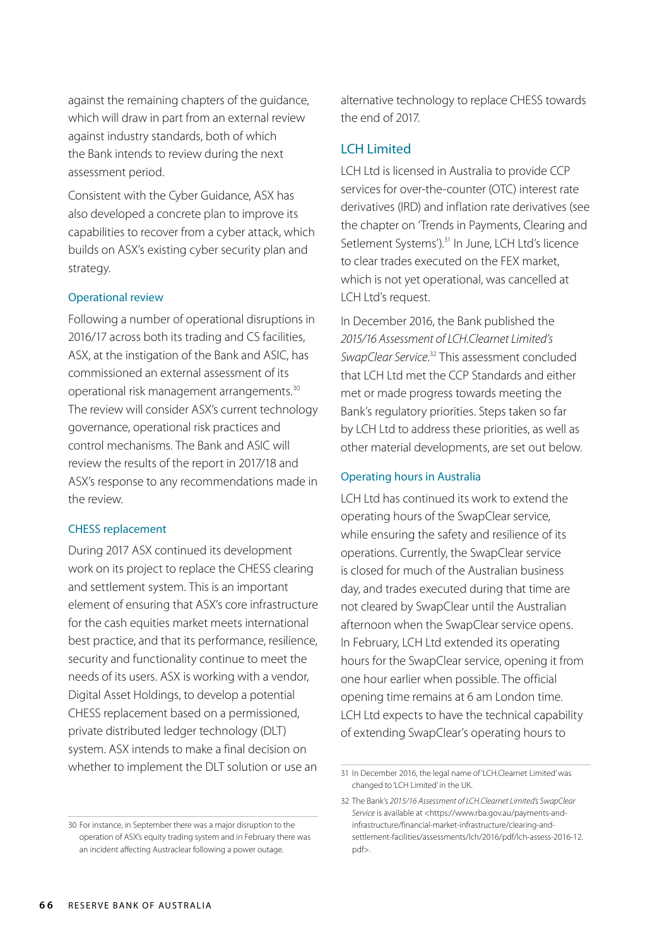against the remaining chapters of the guidance, which will draw in part from an external review against industry standards, both of which the Bank intends to review during the next assessment period.

Consistent with the Cyber Guidance, ASX has also developed a concrete plan to improve its capabilities to recover from a cyber attack, which builds on ASX's existing cyber security plan and strategy.

#### Operational review

Following a number of operational disruptions in 2016/17 across both its trading and CS facilities, ASX, at the instigation of the Bank and ASIC, has commissioned an external assessment of its operational risk management arrangements.30 The review will consider ASX's current technology governance, operational risk practices and control mechanisms. The Bank and ASIC will review the results of the report in 2017/18 and ASX's response to any recommendations made in the review.

#### CHESS replacement

During 2017 ASX continued its development work on its project to replace the CHESS clearing and settlement system. This is an important element of ensuring that ASX's core infrastructure for the cash equities market meets international best practice, and that its performance, resilience, security and functionality continue to meet the needs of its users. ASX is working with a vendor, Digital Asset Holdings, to develop a potential CHESS replacement based on a permissioned, private distributed ledger technology (DLT) system. ASX intends to make a final decision on whether to implement the DLT solution or use an

alternative technology to replace CHESS towards the end of 2017.

# LCH Limited

LCH Ltd is licensed in Australia to provide CCP services for over-the-counter (OTC) interest rate derivatives (IRD) and inflation rate derivatives (see the chapter on 'Trends in Payments, Clearing and Setlement Systems').<sup>31</sup> In June, LCH Ltd's licence to clear trades executed on the FEX market, which is not yet operational, was cancelled at LCH Ltd's request.

In December 2016, the Bank published the *2015/16 Assessment of LCH.Clearnet Limited's SwapClear Service*. 32 This assessment concluded that LCH Ltd met the CCP Standards and either met or made progress towards meeting the Bank's regulatory priorities. Steps taken so far by LCH Ltd to address these priorities, as well as other material developments, are set out below.

#### Operating hours in Australia

LCH Ltd has continued its work to extend the operating hours of the SwapClear service, while ensuring the safety and resilience of its operations. Currently, the SwapClear service is closed for much of the Australian business day, and trades executed during that time are not cleared by SwapClear until the Australian afternoon when the SwapClear service opens. In February, LCH Ltd extended its operating hours for the SwapClear service, opening it from one hour earlier when possible. The official opening time remains at 6 am London time. LCH Ltd expects to have the technical capability of extending SwapClear's operating hours to

<sup>30</sup> For instance, in September there was a major disruption to the operation of ASX's equity trading system and in February there was an incident affecting Austraclear following a power outage.

<sup>31</sup> In December 2016, the legal name of 'LCH.Clearnet Limited' was changed to 'LCH Limited' in the UK.

<sup>32</sup> The Bank's *2015/16 Assessment of LCH.Clearnet Limited's SwapClear Service* is available at <https://www.rba.gov.au/payments-andinfrastructure/financial-market-infrastructure/clearing-andsettlement-facilities/assessments/lch/2016/pdf/lch-assess-2016-12. pdf>.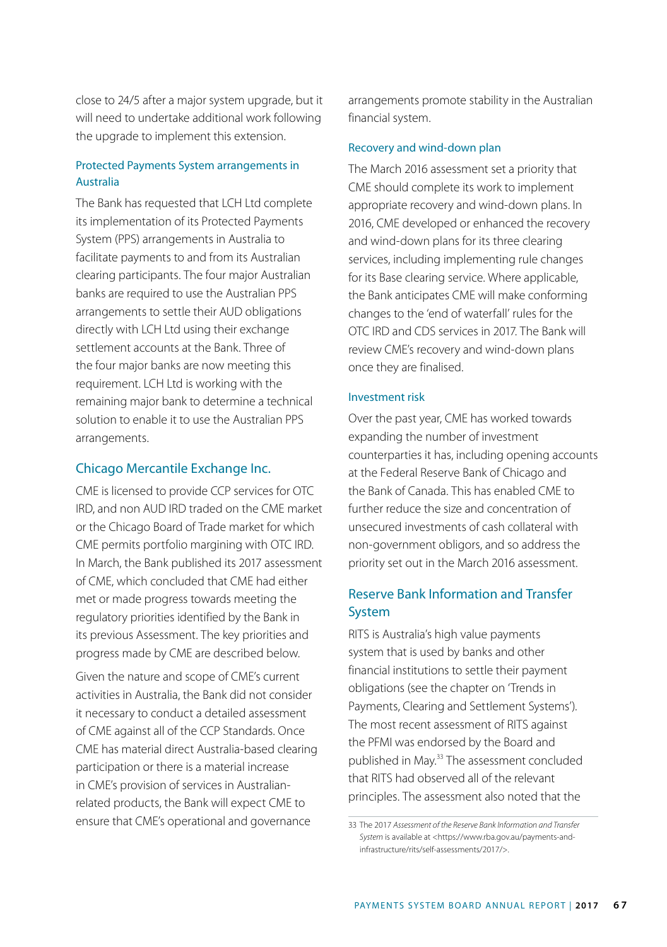close to 24/5 after a major system upgrade, but it will need to undertake additional work following the upgrade to implement this extension.

# Protected Payments System arrangements in Australia

The Bank has requested that LCH Ltd complete its implementation of its Protected Payments System (PPS) arrangements in Australia to facilitate payments to and from its Australian clearing participants. The four major Australian banks are required to use the Australian PPS arrangements to settle their AUD obligations directly with LCH Ltd using their exchange settlement accounts at the Bank. Three of the four major banks are now meeting this requirement. LCH Ltd is working with the remaining major bank to determine a technical solution to enable it to use the Australian PPS arrangements.

# Chicago Mercantile Exchange Inc.

CME is licensed to provide CCP services for OTC IRD, and non AUD IRD traded on the CME market or the Chicago Board of Trade market for which CME permits portfolio margining with OTC IRD. In March, the Bank published its 2017 assessment of CME, which concluded that CME had either met or made progress towards meeting the regulatory priorities identified by the Bank in its previous Assessment. The key priorities and progress made by CME are described below.

Given the nature and scope of CME's current activities in Australia, the Bank did not consider it necessary to conduct a detailed assessment of CME against all of the CCP Standards. Once CME has material direct Australia-based clearing participation or there is a material increase in CME's provision of services in Australianrelated products, the Bank will expect CME to ensure that CME's operational and governance

arrangements promote stability in the Australian financial system.

#### Recovery and wind-down plan

The March 2016 assessment set a priority that CME should complete its work to implement appropriate recovery and wind-down plans. In 2016, CME developed or enhanced the recovery and wind-down plans for its three clearing services, including implementing rule changes for its Base clearing service. Where applicable, the Bank anticipates CME will make conforming changes to the 'end of waterfall' rules for the OTC IRD and CDS services in 2017. The Bank will review CME's recovery and wind-down plans once they are finalised.

#### Investment risk

Over the past year, CME has worked towards expanding the number of investment counterparties it has, including opening accounts at the Federal Reserve Bank of Chicago and the Bank of Canada. This has enabled CME to further reduce the size and concentration of unsecured investments of cash collateral with non-government obligors, and so address the priority set out in the March 2016 assessment.

# Reserve Bank Information and Transfer System

RITS is Australia's high value payments system that is used by banks and other financial institutions to settle their payment obligations (see the chapter on 'Trends in Payments, Clearing and Settlement Systems'). The most recent assessment of RITS against the PFMI was endorsed by the Board and published in May.<sup>33</sup> The assessment concluded that RITS had observed all of the relevant principles. The assessment also noted that the

<sup>33</sup> The 2017 *Assessment of the Reserve Bank Information and Transfer System* is available at <https://www.rba.gov.au/payments-andinfrastructure/rits/self-assessments/2017/>.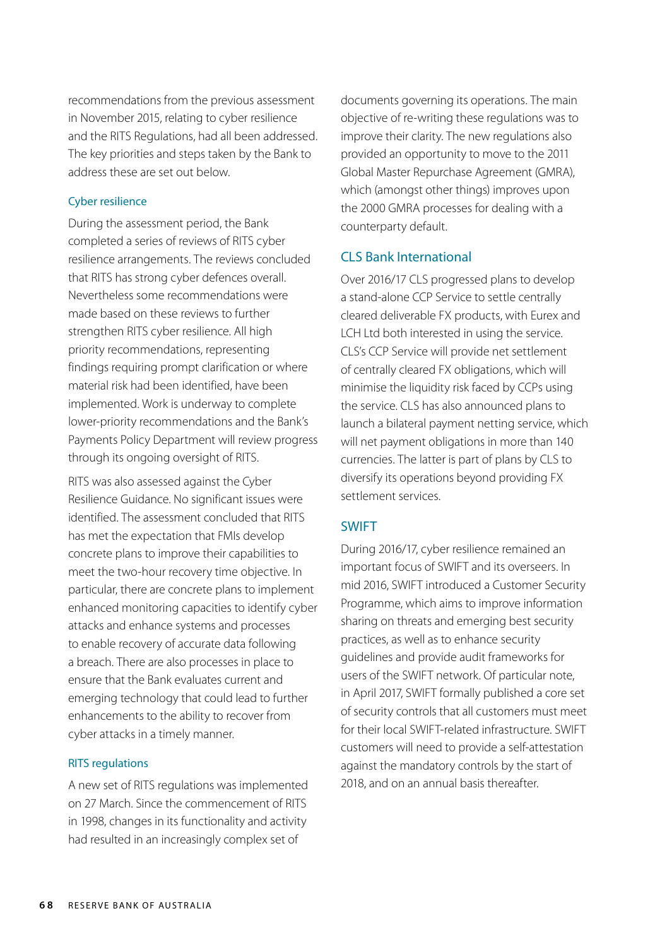recommendations from the previous assessment in November 2015, relating to cyber resilience and the RITS Regulations, had all been addressed. The key priorities and steps taken by the Bank to address these are set out below.

## Cyber resilience

During the assessment period, the Bank completed a series of reviews of RITS cyber resilience arrangements. The reviews concluded that RITS has strong cyber defences overall. Nevertheless some recommendations were made based on these reviews to further strengthen RITS cyber resilience. All high priority recommendations, representing findings requiring prompt clarification or where material risk had been identified, have been implemented. Work is underway to complete lower-priority recommendations and the Bank's Payments Policy Department will review progress through its ongoing oversight of RITS.

RITS was also assessed against the Cyber Resilience Guidance. No significant issues were identified. The assessment concluded that RITS has met the expectation that FMIs develop concrete plans to improve their capabilities to meet the two-hour recovery time objective. In particular, there are concrete plans to implement enhanced monitoring capacities to identify cyber attacks and enhance systems and processes to enable recovery of accurate data following a breach. There are also processes in place to ensure that the Bank evaluates current and emerging technology that could lead to further enhancements to the ability to recover from cyber attacks in a timely manner.

#### RITS regulations

A new set of RITS regulations was implemented on 27 March. Since the commencement of RITS in 1998, changes in its functionality and activity had resulted in an increasingly complex set of

documents governing its operations. The main objective of re-writing these regulations was to improve their clarity. The new regulations also provided an opportunity to move to the 2011 Global Master Repurchase Agreement (GMRA), which (amongst other things) improves upon the 2000 GMRA processes for dealing with a counterparty default.

# CLS Bank International

Over 2016/17 CLS progressed plans to develop a stand-alone CCP Service to settle centrally cleared deliverable FX products, with Eurex and LCH Ltd both interested in using the service. CLS's CCP Service will provide net settlement of centrally cleared FX obligations, which will minimise the liquidity risk faced by CCPs using the service. CLS has also announced plans to launch a bilateral payment netting service, which will net payment obligations in more than 140 currencies. The latter is part of plans by CLS to diversify its operations beyond providing FX settlement services.

# SWIFT

During 2016/17, cyber resilience remained an important focus of SWIFT and its overseers. In mid 2016, SWIFT introduced a Customer Security Programme, which aims to improve information sharing on threats and emerging best security practices, as well as to enhance security guidelines and provide audit frameworks for users of the SWIFT network. Of particular note, in April 2017, SWIFT formally published a core set of security controls that all customers must meet for their local SWIFT-related infrastructure. SWIFT customers will need to provide a self-attestation against the mandatory controls by the start of 2018, and on an annual basis thereafter.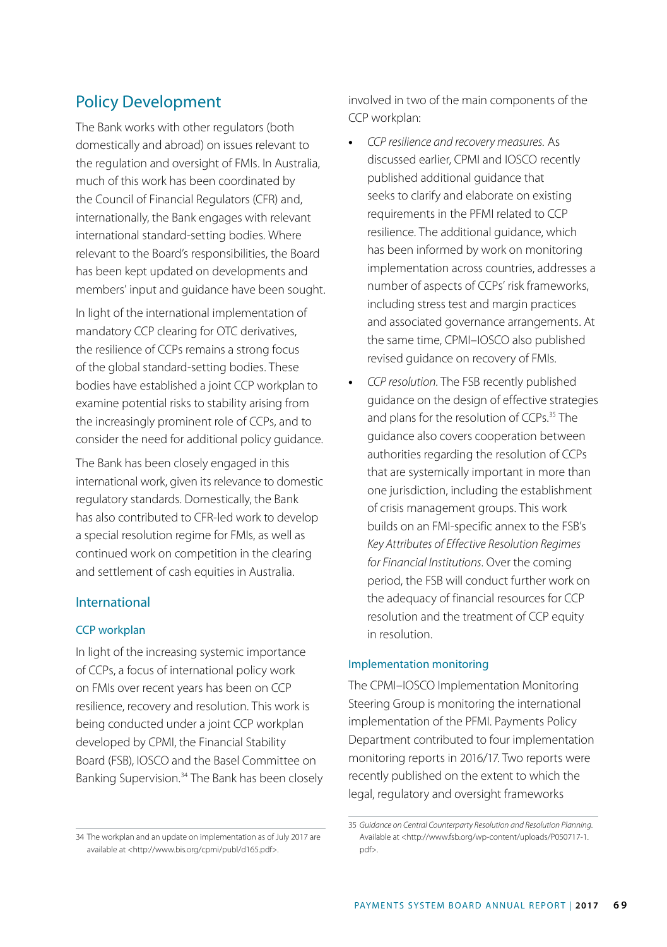# Policy Development

The Bank works with other regulators (both domestically and abroad) on issues relevant to the regulation and oversight of FMIs. In Australia, much of this work has been coordinated by the Council of Financial Regulators (CFR) and, internationally, the Bank engages with relevant international standard-setting bodies. Where relevant to the Board's responsibilities, the Board has been kept updated on developments and members' input and guidance have been sought.

In light of the international implementation of mandatory CCP clearing for OTC derivatives, the resilience of CCPs remains a strong focus of the global standard-setting bodies. These bodies have established a joint CCP workplan to examine potential risks to stability arising from the increasingly prominent role of CCPs, and to consider the need for additional policy guidance.

The Bank has been closely engaged in this international work, given its relevance to domestic regulatory standards. Domestically, the Bank has also contributed to CFR-led work to develop a special resolution regime for FMIs, as well as continued work on competition in the clearing and settlement of cash equities in Australia.

## International

## CCP workplan

In light of the increasing systemic importance of CCPs, a focus of international policy work on FMIs over recent years has been on CCP resilience, recovery and resolution. This work is being conducted under a joint CCP workplan developed by CPMI, the Financial Stability Board (FSB), IOSCO and the Basel Committee on Banking Supervision.<sup>34</sup> The Bank has been closely involved in two of the main components of the CCP workplan:

- **•** *CCP resilience and recovery measures.* As discussed earlier, CPMI and IOSCO recently published additional guidance that seeks to clarify and elaborate on existing requirements in the PFMI related to CCP resilience. The additional guidance, which has been informed by work on monitoring implementation across countries, addresses a number of aspects of CCPs' risk frameworks, including stress test and margin practices and associated governance arrangements. At the same time, CPMI–IOSCO also published revised guidance on recovery of FMIs.
- **•** *CCP resolution*. The FSB recently published guidance on the design of effective strategies and plans for the resolution of CCPs.<sup>35</sup> The guidance also covers cooperation between authorities regarding the resolution of CCPs that are systemically important in more than one jurisdiction, including the establishment of crisis management groups. This work builds on an FMI-specific annex to the FSB's *Key Attributes of Effective Resolution Regimes for Financial Institutions*. Over the coming period, the FSB will conduct further work on the adequacy of financial resources for CCP resolution and the treatment of CCP equity in resolution.

#### Implementation monitoring

The CPMI–IOSCO Implementation Monitoring Steering Group is monitoring the international implementation of the PFMI. Payments Policy Department contributed to four implementation monitoring reports in 2016/17. Two reports were recently published on the extent to which the legal, regulatory and oversight frameworks

<sup>34</sup> The workplan and an update on implementation as of July 2017 are available at <http://www.bis.org/cpmi/publ/d165.pdf>.

<sup>35</sup> *Guidance on Central Counterparty Resolution and Resolution Planning*. Available at <http://www.fsb.org/wp-content/uploads/P050717-1. pdf>.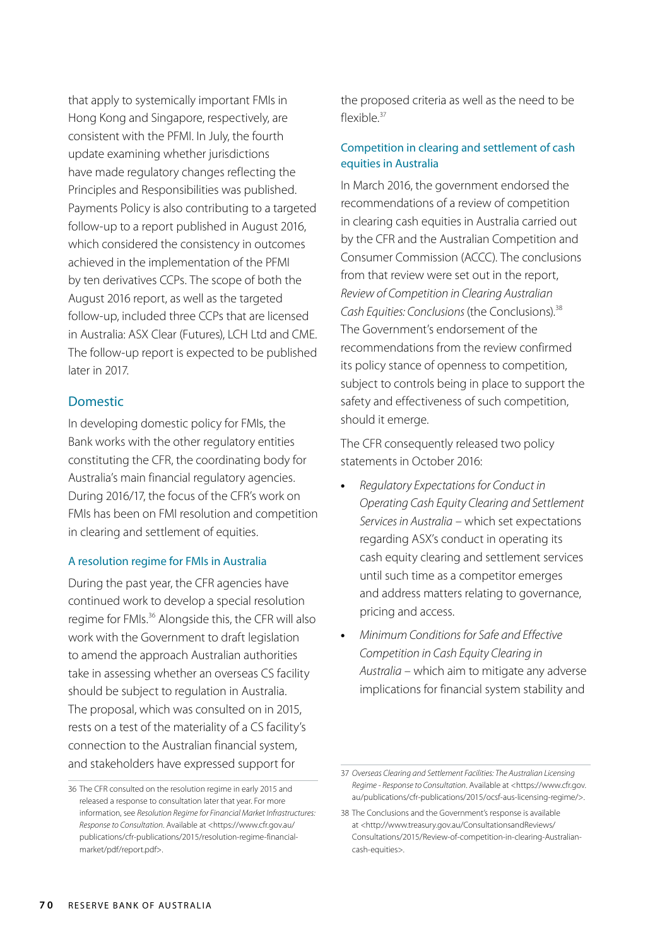that apply to systemically important FMIs in Hong Kong and Singapore, respectively, are consistent with the PFMI. In July, the fourth update examining whether jurisdictions have made regulatory changes reflecting the Principles and Responsibilities was published. Payments Policy is also contributing to a targeted follow-up to a report published in August 2016, which considered the consistency in outcomes achieved in the implementation of the PFMI by ten derivatives CCPs. The scope of both the August 2016 report, as well as the targeted follow-up, included three CCPs that are licensed in Australia: ASX Clear (Futures), LCH Ltd and CME. The follow-up report is expected to be published later in 2017.

# Domestic

In developing domestic policy for FMIs, the Bank works with the other regulatory entities constituting the CFR, the coordinating body for Australia's main financial regulatory agencies. During 2016/17, the focus of the CFR's work on FMIs has been on FMI resolution and competition in clearing and settlement of equities.

#### A resolution regime for FMIs in Australia

During the past year, the CFR agencies have continued work to develop a special resolution regime for FMIs.<sup>36</sup> Alongside this, the CFR will also work with the Government to draft legislation to amend the approach Australian authorities take in assessing whether an overseas CS facility should be subject to regulation in Australia. The proposal, which was consulted on in 2015, rests on a test of the materiality of a CS facility's connection to the Australian financial system, and stakeholders have expressed support for

the proposed criteria as well as the need to be flexible $37$ 

# Competition in clearing and settlement of cash equities in Australia

In March 2016, the government endorsed the recommendations of a review of competition in clearing cash equities in Australia carried out by the CFR and the Australian Competition and Consumer Commission (ACCC). The conclusions from that review were set out in the report, *Review of Competition in Clearing Australian*  Cash Equities: Conclusions (the Conclusions).<sup>38</sup> The Government's endorsement of the recommendations from the review confirmed its policy stance of openness to competition, subject to controls being in place to support the safety and effectiveness of such competition, should it emerge.

The CFR consequently released two policy statements in October 2016:

- **•** *Regulatory Expectations for Conduct in Operating Cash Equity Clearing and Settlement Services in Australia* – which set expectations regarding ASX's conduct in operating its cash equity clearing and settlement services until such time as a competitor emerges and address matters relating to governance, pricing and access.
- **•** *Minimum Conditions for Safe and Effective Competition in Cash Equity Clearing in Australia* – which aim to mitigate any adverse implications for financial system stability and

<sup>36</sup> The CFR consulted on the resolution regime in early 2015 and released a response to consultation later that year. For more information, see *Resolution Regime for Financial Market Infrastructures: Response to Consultation*. Available at <https://www.cfr.gov.au/ publications/cfr-publications/2015/resolution-regime-financialmarket/pdf/report.pdf>.

<sup>37</sup> *Overseas Clearing and Settlement Facilities: The Australian Licensing Regime - Response to Consultation*. Available at <https://www.cfr.gov. au/publications/cfr-publications/2015/ocsf-aus-licensing-regime/>.

<sup>38</sup> The Conclusions and the Government's response is available at <http://www.treasury.gov.au/ConsultationsandReviews/ Consultations/2015/Review-of-competition-in-clearing-Australiancash-equities>.